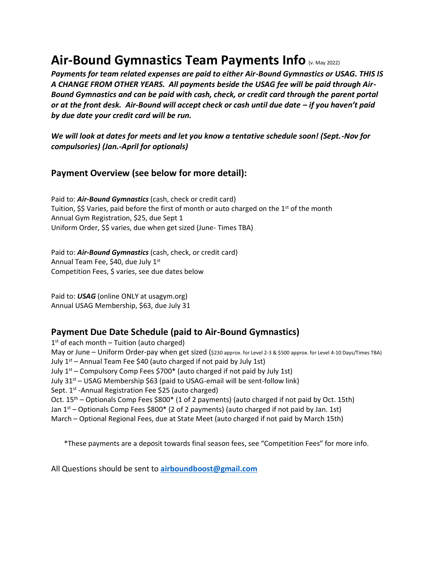# Air-Bound Gymnastics Team Payments Info (v. May 2022)

*Payments for team related expenses are paid to either Air-Bound Gymnastics or USAG. THIS IS A CHANGE FROM OTHER YEARS. All payments beside the USAG fee will be paid through Air-Bound Gymnastics and can be paid with cash, check, or credit card through the parent portal or at the front desk. Air-Bound will accept check or cash until due date – if you haven't paid by due date your credit card will be run.* 

*We will look at dates for meets and let you know a tentative schedule soon! (Sept.-Nov for compulsories) (Jan.-April for optionals)*

### **Payment Overview (see below for more detail):**

Paid to: *Air-Bound Gymnastics* (cash, check or credit card) Tuition,  $\zeta$  Varies, paid before the first of month or auto charged on the 1<sup>st</sup> of the month Annual Gym Registration, \$25, due Sept 1 Uniform Order, \$\$ varies, due when get sized (June- Times TBA)

Paid to: *Air-Bound Gymnastics* (cash, check, or credit card) Annual Team Fee, \$40, due July 1st Competition Fees, \$ varies, see due dates below

Paid to: **USAG** (online ONLY at usagym.org) Annual USAG Membership, \$63, due July 31

## **Payment Due Date Schedule (paid to Air-Bound Gymnastics)**

1<sup>st</sup> of each month - Tuition (auto charged) May or June – Uniform Order-pay when get sized (\$230 approx. for Level 2-3 & \$500 approx. for Level 4-10 Days/Times TBA) July  $1<sup>st</sup>$  – Annual Team Fee \$40 (auto charged if not paid by July 1st) July 1st – Compulsory Comp Fees \$700\* (auto charged if not paid by July 1st) July 31<sup>st</sup> – USAG Membership \$63 (paid to USAG-email will be sent-follow link) Sept. 1<sup>st</sup> -Annual Registration Fee \$25 (auto charged) Oct. 15th – Optionals Comp Fees \$800\* (1 of 2 payments) (auto charged if not paid by Oct. 15th) Jan 1<sup>st</sup> – Optionals Comp Fees \$800\* (2 of 2 payments) (auto charged if not paid by Jan. 1st) March – Optional Regional Fees, due at State Meet (auto charged if not paid by March 15th)

\*These payments are a deposit towards final season fees, see "Competition Fees" for more info.

All Questions should be sent to **[airboundboost@gmail.com](mailto:airboundboost@gmail.com)**